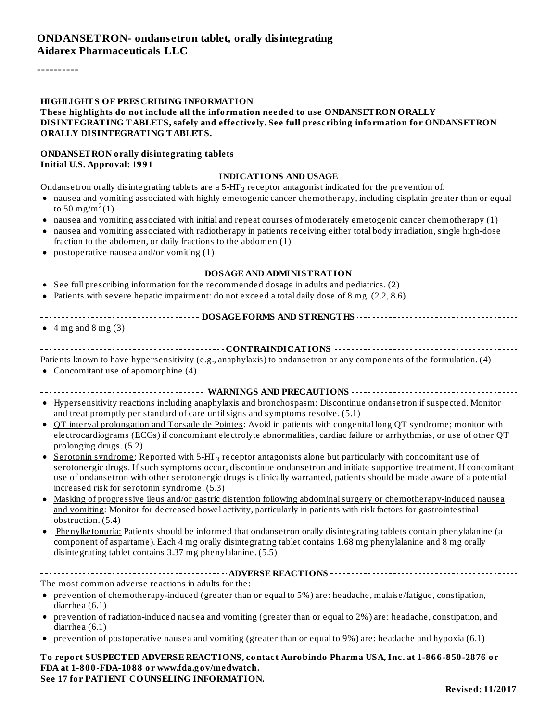----------

| <b>HIGHLIGHTS OF PRESCRIBING INFORMATION</b><br>These highlights do not include all the information needed to use ONDANSETRON ORALLY<br>DISINTEGRATING TABLETS, safely and effectively. See full prescribing information for ONDANSETRON<br>ORALLY DISINTEGRATING TABLETS.                                                                                                                                                                                                                                                                                                                                                                                                                                                                                                                                                                                                                                                                                                                                                                                                                                                                                                                                                                                                                                                                                                                                                                                                                                                                                                                     |
|------------------------------------------------------------------------------------------------------------------------------------------------------------------------------------------------------------------------------------------------------------------------------------------------------------------------------------------------------------------------------------------------------------------------------------------------------------------------------------------------------------------------------------------------------------------------------------------------------------------------------------------------------------------------------------------------------------------------------------------------------------------------------------------------------------------------------------------------------------------------------------------------------------------------------------------------------------------------------------------------------------------------------------------------------------------------------------------------------------------------------------------------------------------------------------------------------------------------------------------------------------------------------------------------------------------------------------------------------------------------------------------------------------------------------------------------------------------------------------------------------------------------------------------------------------------------------------------------|
| <b>ONDANSETRON orally disintegrating tablets</b><br><b>Initial U.S. Approval: 1991</b>                                                                                                                                                                                                                                                                                                                                                                                                                                                                                                                                                                                                                                                                                                                                                                                                                                                                                                                                                                                                                                                                                                                                                                                                                                                                                                                                                                                                                                                                                                         |
| Ondansetron orally disintegrating tablets are a 5-HT <sub>3</sub> receptor antagonist indicated for the prevention of:<br>• nausea and vomiting associated with highly emetogenic cancer chemotherapy, including cisplatin greater than or equal<br>to 50 mg/m <sup>2</sup> (1)<br>• nausea and vomiting associated with initial and repeat courses of moderately emetogenic cancer chemotherapy (1)<br>• nausea and vomiting associated with radiotherapy in patients receiving either total body irradiation, single high-dose<br>fraction to the abdomen, or daily fractions to the abdomen (1)<br>• postoperative nausea and/or vomiting $(1)$                                                                                                                                                                                                                                                                                                                                                                                                                                                                                                                                                                                                                                                                                                                                                                                                                                                                                                                                             |
|                                                                                                                                                                                                                                                                                                                                                                                                                                                                                                                                                                                                                                                                                                                                                                                                                                                                                                                                                                                                                                                                                                                                                                                                                                                                                                                                                                                                                                                                                                                                                                                                |
| • See full prescribing information for the recommended dosage in adults and pediatrics. (2)                                                                                                                                                                                                                                                                                                                                                                                                                                                                                                                                                                                                                                                                                                                                                                                                                                                                                                                                                                                                                                                                                                                                                                                                                                                                                                                                                                                                                                                                                                    |
| • Patients with severe hepatic impairment: do not exceed a total daily dose of 8 mg. (2.2, 8.6)                                                                                                                                                                                                                                                                                                                                                                                                                                                                                                                                                                                                                                                                                                                                                                                                                                                                                                                                                                                                                                                                                                                                                                                                                                                                                                                                                                                                                                                                                                |
| ------------------------------------- DOSAGE FORMS AND STRENGTHS ----------------------------------<br>$\bullet$ 4 mg and 8 mg (3)                                                                                                                                                                                                                                                                                                                                                                                                                                                                                                                                                                                                                                                                                                                                                                                                                                                                                                                                                                                                                                                                                                                                                                                                                                                                                                                                                                                                                                                             |
|                                                                                                                                                                                                                                                                                                                                                                                                                                                                                                                                                                                                                                                                                                                                                                                                                                                                                                                                                                                                                                                                                                                                                                                                                                                                                                                                                                                                                                                                                                                                                                                                |
| Patients known to have hypersensitivity (e.g., anaphylaxis) to ondansetron or any components of the formulation. (4)<br>• Concomitant use of apomorphine (4)                                                                                                                                                                                                                                                                                                                                                                                                                                                                                                                                                                                                                                                                                                                                                                                                                                                                                                                                                                                                                                                                                                                                                                                                                                                                                                                                                                                                                                   |
| ------------------------------- WARNINGS AND PRECAUTIONS -------------------<br>• Hypersensitivity reactions including anaphylaxis and bronchospasm: Discontinue ondansetron if suspected. Monitor<br>and treat promptly per standard of care until signs and symptoms resolve. (5.1)<br>QT interval prolongation and Torsade de Pointes: Avoid in patients with congenital long QT syndrome; monitor with<br>$\bullet$<br>electrocardiograms (ECGs) if concomitant electrolyte abnormalities, cardiac failure or arrhythmias, or use of other QT<br>prolonging drugs. (5.2)<br>Serotonin syndrome: Reported with $5-HT_3$ receptor antagonists alone but particularly with concomitant use of<br>$\bullet$<br>serotonergic drugs. If such symptoms occur, discontinue ondansetron and initiate supportive treatment. If concomitant<br>use of ondansetron with other serotonergic drugs is clinically warranted, patients should be made aware of a potential<br>increased risk for serotonin syndrome. (5.3)<br>Masking of progressive ileus and/or gastric distention following abdominal surgery or chemotherapy-induced nausea<br>and vomiting: Monitor for decreased bowel activity, particularly in patients with risk factors for gastrointestinal<br>obstruction. (5.4)<br>Phenylketonuria: Patients should be informed that ondansetron orally disintegrating tablets contain phenylalanine (a<br>٠<br>component of aspartame). Each 4 mg orally disintegrating tablet contains 1.68 mg phenylalanine and 8 mg orally<br>disintegrating tablet contains 3.37 mg phenylalanine. (5.5) |
|                                                                                                                                                                                                                                                                                                                                                                                                                                                                                                                                                                                                                                                                                                                                                                                                                                                                                                                                                                                                                                                                                                                                                                                                                                                                                                                                                                                                                                                                                                                                                                                                |
| The most common adverse reactions in adults for the:<br>• prevention of chemotherapy-induced (greater than or equal to 5%) are: headache, malaise/fatigue, constipation,                                                                                                                                                                                                                                                                                                                                                                                                                                                                                                                                                                                                                                                                                                                                                                                                                                                                                                                                                                                                                                                                                                                                                                                                                                                                                                                                                                                                                       |
| diarrhea (6.1)                                                                                                                                                                                                                                                                                                                                                                                                                                                                                                                                                                                                                                                                                                                                                                                                                                                                                                                                                                                                                                                                                                                                                                                                                                                                                                                                                                                                                                                                                                                                                                                 |
| • prevention of radiation-induced nausea and vomiting (greater than or equal to 2%) are: headache, constipation, and<br>diarrhea $(6.1)$                                                                                                                                                                                                                                                                                                                                                                                                                                                                                                                                                                                                                                                                                                                                                                                                                                                                                                                                                                                                                                                                                                                                                                                                                                                                                                                                                                                                                                                       |
| • prevention of postoperative nausea and vomiting (greater than or equal to 9%) are: headache and hypoxia (6.1)                                                                                                                                                                                                                                                                                                                                                                                                                                                                                                                                                                                                                                                                                                                                                                                                                                                                                                                                                                                                                                                                                                                                                                                                                                                                                                                                                                                                                                                                                |
| To report SUSPECTED ADVERSE REACTIONS, contact Aurobindo Pharma USA, Inc. at 1-866-850-2876 or<br>FDA at 1-800-FDA-1088 or www.fda.gov/medwatch.<br>See 17 for PATIENT COUNSELING INFORMATION.                                                                                                                                                                                                                                                                                                                                                                                                                                                                                                                                                                                                                                                                                                                                                                                                                                                                                                                                                                                                                                                                                                                                                                                                                                                                                                                                                                                                 |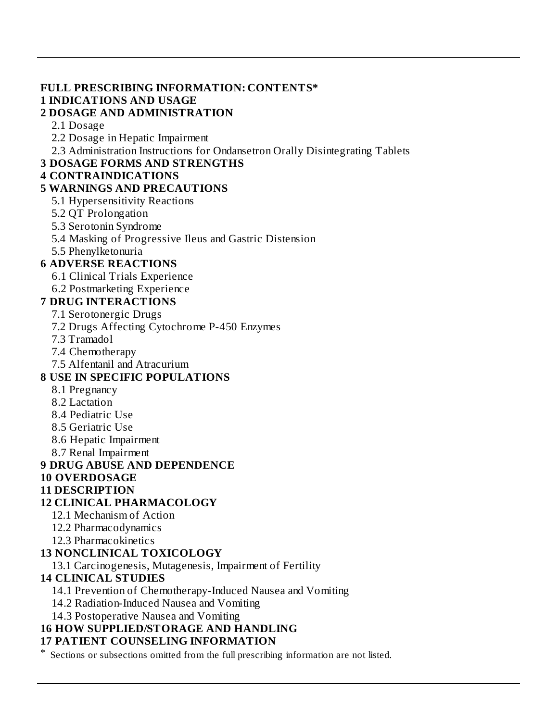#### **FULL PRESCRIBING INFORMATION: CONTENTS\* 1 INDICATIONS AND USAGE**

### **2 DOSAGE AND ADMINISTRATION**

2.1 Dosage

2.2 Dosage in Hepatic Impairment

2.3 Administration Instructions for Ondansetron Orally Disintegrating Tablets

#### **3 DOSAGE FORMS AND STRENGTHS**

### **4 CONTRAINDICATIONS**

## **5 WARNINGS AND PRECAUTIONS**

- 5.1 Hypersensitivity Reactions
- 5.2 QT Prolongation
- 5.3 Serotonin Syndrome
- 5.4 Masking of Progressive Ileus and Gastric Distension
- 5.5 Phenylketonuria

## **6 ADVERSE REACTIONS**

- 6.1 Clinical Trials Experience
- 6.2 Postmarketing Experience

## **7 DRUG INTERACTIONS**

- 7.1 Serotonergic Drugs
- 7.2 Drugs Affecting Cytochrome P-450 Enzymes
- 7.3 Tramadol
- 7.4 Chemotherapy
- 7.5 Alfentanil and Atracurium

## **8 USE IN SPECIFIC POPULATIONS**

- 8.1 Pregnancy
- 8.2 Lactation
- 8.4 Pediatric Use
- 8.5 Geriatric Use
- 8.6 Hepatic Impairment
- 8.7 Renal Impairment

## **9 DRUG ABUSE AND DEPENDENCE**

#### **10 OVERDOSAGE**

#### **11 DESCRIPTION**

## **12 CLINICAL PHARMACOLOGY**

- 12.1 Mechanism of Action
- 12.2 Pharmacodynamics
- 12.3 Pharmacokinetics

## **13 NONCLINICAL TOXICOLOGY**

13.1 Carcinogenesis, Mutagenesis, Impairment of Fertility

## **14 CLINICAL STUDIES**

14.1 Prevention of Chemotherapy-Induced Nausea and Vomiting

- 14.2 Radiation-Induced Nausea and Vomiting
- 14.3 Postoperative Nausea and Vomiting

# **16 HOW SUPPLIED/STORAGE AND HANDLING**

## **17 PATIENT COUNSELING INFORMATION**

Sections or subsections omitted from the full prescribing information are not listed.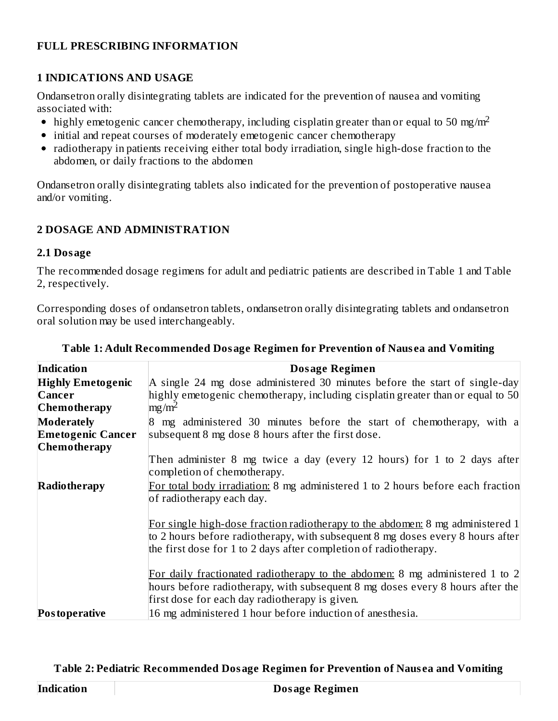#### **FULL PRESCRIBING INFORMATION**

#### **1 INDICATIONS AND USAGE**

Ondansetron orally disintegrating tablets are indicated for the prevention of nausea and vomiting associated with:

- highly emetogenic cancer chemotherapy, including cisplatin greater than or equal to 50 mg/m<sup>2</sup>
- initial and repeat courses of moderately emetogenic cancer chemotherapy
- radiotherapy in patients receiving either total body irradiation, single high-dose fraction to the abdomen, or daily fractions to the abdomen

Ondansetron orally disintegrating tablets also indicated for the prevention of postoperative nausea and/or vomiting.

## **2 DOSAGE AND ADMINISTRATION**

#### **2.1 Dosage**

The recommended dosage regimens for adult and pediatric patients are described in Table 1 and Table 2, respectively.

Corresponding doses of ondansetron tablets, ondansetron orally disintegrating tablets and ondansetron oral solution may be used interchangeably.

| Indication               | <b>Dosage Regimen</b>                                                                                                                                            |
|--------------------------|------------------------------------------------------------------------------------------------------------------------------------------------------------------|
| <b>Highly Emetogenic</b> | A single 24 mg dose administered 30 minutes before the start of single-day                                                                                       |
| <b>Cancer</b>            | highly emetogenic chemotherapy, including cisplatin greater than or equal to 50                                                                                  |
| Chemotherapy             | $mg/m^2$                                                                                                                                                         |
| Moderately               | 8 mg administered 30 minutes before the start of chemotherapy, with a                                                                                            |
| <b>Emetogenic Cancer</b> | subsequent 8 mg dose 8 hours after the first dose.                                                                                                               |
| <b>Chemotherapy</b>      |                                                                                                                                                                  |
|                          | Then administer 8 mg twice a day (every 12 hours) for 1 to 2 days after                                                                                          |
|                          | completion of chemotherapy.                                                                                                                                      |
| <b>Radiotherapy</b>      | For total body irradiation: 8 mg administered 1 to 2 hours before each fraction                                                                                  |
|                          | of radiotherapy each day.                                                                                                                                        |
|                          | For single high-dose fraction radiotherapy to the abdomen: 8 mg administered 1<br>to 2 hours before radiotherapy, with subsequent 8 mg doses every 8 hours after |
|                          | the first dose for 1 to 2 days after completion of radiotherapy.                                                                                                 |
|                          |                                                                                                                                                                  |
|                          | For daily fractionated radiotherapy to the abdomen: 8 mg administered 1 to 2                                                                                     |
|                          | hours before radiotherapy, with subsequent 8 mg doses every 8 hours after the                                                                                    |
|                          | first dose for each day radiotherapy is given.                                                                                                                   |
| Postoperative            | 16 mg administered 1 hour before induction of anesthesia.                                                                                                        |

#### **Table 1: Adult Recommended Dosage Regimen for Prevention of Naus ea and Vomiting**

#### **Table 2: Pediatric Recommended Dosage Regimen for Prevention of Naus ea and Vomiting**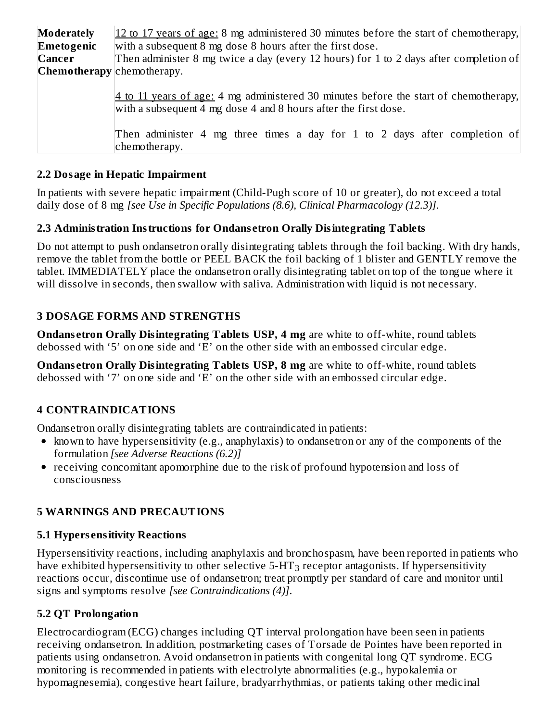| <b>Moderately</b>          | 12 to 17 years of age: 8 mg administered 30 minutes before the start of chemotherapy,                                                                   |
|----------------------------|---------------------------------------------------------------------------------------------------------------------------------------------------------|
| Emetogenic                 | with a subsequent 8 mg dose 8 hours after the first dose.                                                                                               |
| Cancer                     | Then administer 8 mg twice a day (every 12 hours) for 1 to 2 days after completion of                                                                   |
| Chemotherapy chemotherapy. |                                                                                                                                                         |
|                            | 4 to 11 years of age: 4 mg administered 30 minutes before the start of chemotherapy,<br>with a subsequent 4 mg dose 4 and 8 hours after the first dose. |
|                            | Then administer 4 mg three times a day for 1 to 2 days after completion of<br>chemotherapy.                                                             |

## **2.2 Dosage in Hepatic Impairment**

In patients with severe hepatic impairment (Child-Pugh score of 10 or greater), do not exceed a total daily dose of 8 mg *[see Use in Specific Populations (8.6), Clinical Pharmacology (12.3)]*.

## **2.3 Administration Instructions for Ondans etron Orally Disintegrating Tablets**

Do not attempt to push ondansetron orally disintegrating tablets through the foil backing. With dry hands, remove the tablet from the bottle or PEEL BACK the foil backing of 1 blister and GENTLY remove the tablet. IMMEDIATELY place the ondansetron orally disintegrating tablet on top of the tongue where it will dissolve in seconds, then swallow with saliva. Administration with liquid is not necessary.

## **3 DOSAGE FORMS AND STRENGTHS**

**Ondans etron Orally Disintegrating Tablets USP, 4 mg** are white to off-white, round tablets debossed with '5' on one side and 'E' on the other side with an embossed circular edge.

**Ondans etron Orally Disintegrating Tablets USP, 8 mg** are white to off-white, round tablets debossed with '7' on one side and 'E' on the other side with an embossed circular edge.

## **4 CONTRAINDICATIONS**

Ondansetron orally disintegrating tablets are contraindicated in patients:

- known to have hypersensitivity (e.g., anaphylaxis) to ondansetron or any of the components of the formulation *[see Adverse Reactions (6.2)]*
- receiving concomitant apomorphine due to the risk of profound hypotension and loss of consciousness

## **5 WARNINGS AND PRECAUTIONS**

#### **5.1 Hypers ensitivity Reactions**

Hypersensitivity reactions, including anaphylaxis and bronchospasm, have been reported in patients who have exhibited hypersensitivity to other selective 5-HT $_3$  receptor antagonists. If hypersensitivity reactions occur, discontinue use of ondansetron; treat promptly per standard of care and monitor until signs and symptoms resolve *[see Contraindications (4)]*.

## **5.2 QT Prolongation**

Electrocardiogram (ECG) changes including QT interval prolongation have been seen in patients receiving ondansetron. In addition, postmarketing cases of Torsade de Pointes have been reported in patients using ondansetron. Avoid ondansetron in patients with congenital long QT syndrome. ECG monitoring is recommended in patients with electrolyte abnormalities (e.g., hypokalemia or hypomagnesemia), congestive heart failure, bradyarrhythmias, or patients taking other medicinal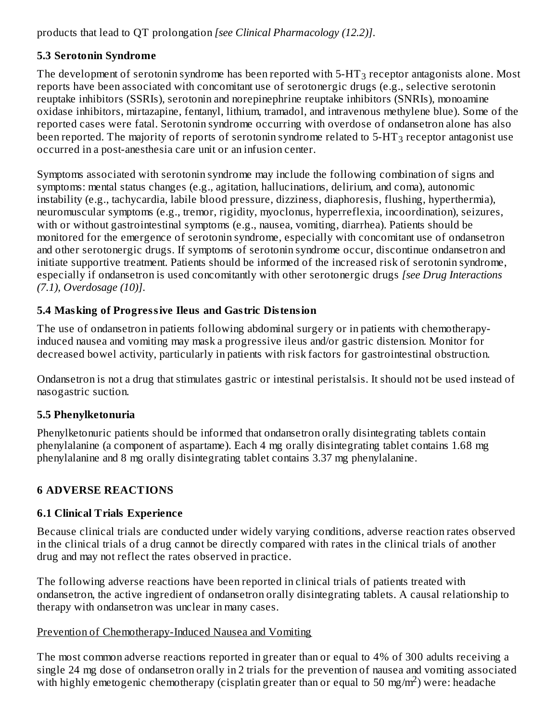products that lead to QT prolongation *[see Clinical Pharmacology (12.2)]*.

## **5.3 Serotonin Syndrome**

The development of serotonin syndrome has been reported with 5-HT $_3$  receptor antagonists alone. Most reports have been associated with concomitant use of serotonergic drugs (e.g., selective serotonin reuptake inhibitors (SSRIs), serotonin and norepinephrine reuptake inhibitors (SNRIs), monoamine oxidase inhibitors, mirtazapine, fentanyl, lithium, tramadol, and intravenous methylene blue). Some of the reported cases were fatal. Serotonin syndrome occurring with overdose of ondansetron alone has also been reported. The majority of reports of serotonin syndrome related to 5-HT $_3$  receptor antagonist use occurred in a post-anesthesia care unit or an infusion center.

Symptoms associated with serotonin syndrome may include the following combination of signs and symptoms: mental status changes (e.g., agitation, hallucinations, delirium, and coma), autonomic instability (e.g., tachycardia, labile blood pressure, dizziness, diaphoresis, flushing, hyperthermia), neuromuscular symptoms (e.g., tremor, rigidity, myoclonus, hyperreflexia, incoordination), seizures, with or without gastrointestinal symptoms (e.g., nausea, vomiting, diarrhea). Patients should be monitored for the emergence of serotonin syndrome, especially with concomitant use of ondansetron and other serotonergic drugs. If symptoms of serotonin syndrome occur, discontinue ondansetron and initiate supportive treatment. Patients should be informed of the increased risk of serotonin syndrome, especially if ondansetron is used concomitantly with other serotonergic drugs *[see Drug Interactions (7.1), Overdosage (10)]*.

# **5.4 Masking of Progressive Ileus and Gastric Distension**

The use of ondansetron in patients following abdominal surgery or in patients with chemotherapyinduced nausea and vomiting may mask a progressive ileus and/or gastric distension. Monitor for decreased bowel activity, particularly in patients with risk factors for gastrointestinal obstruction.

Ondansetron is not a drug that stimulates gastric or intestinal peristalsis. It should not be used instead of nasogastric suction.

## **5.5 Phenylketonuria**

Phenylketonuric patients should be informed that ondansetron orally disintegrating tablets contain phenylalanine (a component of aspartame). Each 4 mg orally disintegrating tablet contains 1.68 mg phenylalanine and 8 mg orally disintegrating tablet contains 3.37 mg phenylalanine.

## **6 ADVERSE REACTIONS**

## **6.1 Clinical Trials Experience**

Because clinical trials are conducted under widely varying conditions, adverse reaction rates observed in the clinical trials of a drug cannot be directly compared with rates in the clinical trials of another drug and may not reflect the rates observed in practice.

The following adverse reactions have been reported in clinical trials of patients treated with ondansetron, the active ingredient of ondansetron orally disintegrating tablets. A causal relationship to therapy with ondansetron was unclear in many cases.

#### Prevention of Chemotherapy-Induced Nausea and Vomiting

The most common adverse reactions reported in greater than or equal to 4% of 300 adults receiving a single 24 mg dose of ondansetron orally in 2 trials for the prevention of nausea and vomiting associated with highly emetogenic chemotherapy (cisplatin greater than or equal to 50 mg/m<sup>2</sup>) were: headache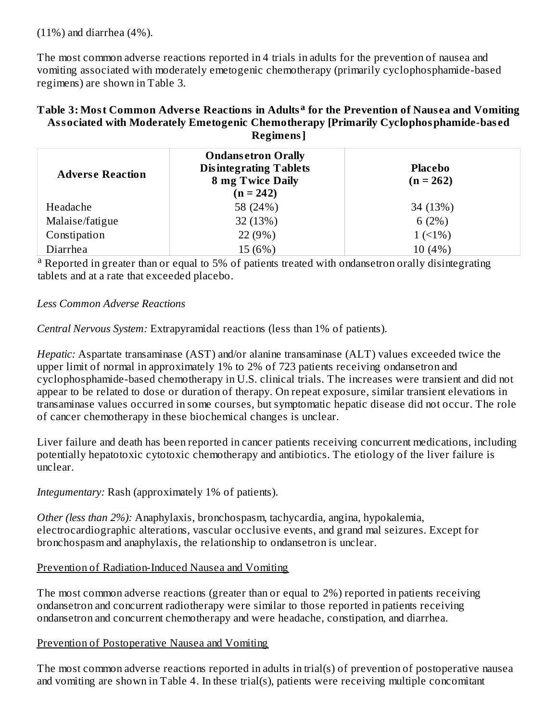(11%) and diarrhea (4%).

The most common adverse reactions reported in 4 trials in adults for the prevention of nausea and vomiting associated with moderately emetogenic chemotherapy (primarily cyclophosphamide-based regimens) are shown in Table 3.

#### **Table 3: Most Common Advers e Reactions in Adults for the Prevention of Naus ea and Vomiting a Associated with Moderately Emetogenic Chemotherapy [Primarily Cyclophosphamide-bas ed Regimens]**

| <b>Adverse Reaction</b> | <b>Ondansetron Orally</b><br><b>Disintegrating Tablets</b><br><b>8 mg Twice Daily</b><br>$(n = 242)$ | <b>Placebo</b><br>$(n = 262)$ |
|-------------------------|------------------------------------------------------------------------------------------------------|-------------------------------|
| Headache                | 58 (24%)                                                                                             | 34 (13%)                      |
| Malaise/fatigue         | 32 (13%)                                                                                             | 6(2%)                         |
| Constipation            | 22 (9%)                                                                                              | $1(1\%)$                      |
| Diarrhea                | 15 (6%)                                                                                              | 10(4%)                        |

<sup>a</sup> Reported in greater than or equal to 5% of patients treated with ondansetron orally disintegrating tablets and at a rate that exceeded placebo.

#### *Less Common Adverse Reactions*

*Central Nervous System:* Extrapyramidal reactions (less than 1% of patients).

*Hepatic:* Aspartate transaminase (AST) and/or alanine transaminase (ALT) values exceeded twice the upper limit of normal in approximately 1% to 2% of 723 patients receiving ondansetron and cyclophosphamide-based chemotherapy in U.S. clinical trials. The increases were transient and did not appear to be related to dose or duration of therapy. On repeat exposure, similar transient elevations in transaminase values occurred in some courses, but symptomatic hepatic disease did not occur. The role of cancer chemotherapy in these biochemical changes is unclear.

Liver failure and death has been reported in cancer patients receiving concurrent medications, including potentially hepatotoxic cytotoxic chemotherapy and antibiotics. The etiology of the liver failure is unclear.

*Integumentary:* Rash (approximately 1% of patients).

*Other (less than 2%):* Anaphylaxis, bronchospasm, tachycardia, angina, hypokalemia, electrocardiographic alterations, vascular occlusive events, and grand mal seizures. Except for bronchospasm and anaphylaxis, the relationship to ondansetron is unclear.

#### Prevention of Radiation-Induced Nausea and Vomiting

The most common adverse reactions (greater than or equal to 2%) reported in patients receiving ondansetron and concurrent radiotherapy were similar to those reported in patients receiving ondansetron and concurrent chemotherapy and were headache, constipation, and diarrhea.

#### Prevention of Postoperative Nausea and Vomiting

The most common adverse reactions reported in adults in trial(s) of prevention of postoperative nausea and vomiting are shown in Table 4. In these trial(s), patients were receiving multiple concomitant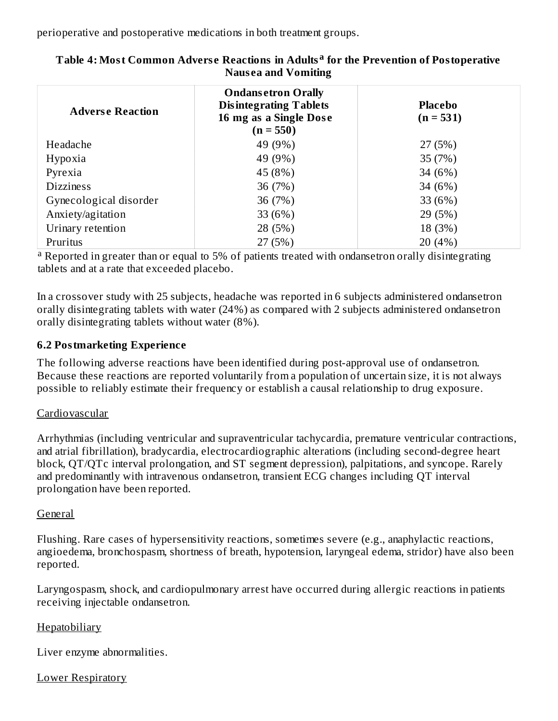perioperative and postoperative medications in both treatment groups.

| <b>Adverse Reaction</b> | <b>Ondansetron Orally</b><br><b>Disintegrating Tablets</b><br>16 mg as a Single Dose<br>$(n = 550)$ | <b>Placebo</b><br>$(n = 531)$ |
|-------------------------|-----------------------------------------------------------------------------------------------------|-------------------------------|
| Headache                | 49 (9%)                                                                                             | 27 (5%)                       |
| Hypoxia                 | 49 (9%)                                                                                             | 35 (7%)                       |
| Pyrexia                 | 45 (8%)                                                                                             | 34 (6%)                       |
| <b>Dizziness</b>        | 36 (7%)                                                                                             | 34 (6%)                       |
| Gynecological disorder  | 36 (7%)                                                                                             | 33 (6%)                       |
| Anxiety/agitation       | 33 (6%)                                                                                             | 29 (5%)                       |
| Urinary retention       | 28 (5%)                                                                                             | 18 (3%)                       |
| Pruritus                | 27 (5%)                                                                                             | 20(4%)                        |

#### **Table 4: Most Common Advers e Reactions in Adults for the Prevention of Postoperative a Naus ea and Vomiting**

<sup>a</sup> Reported in greater than or equal to 5% of patients treated with ondansetron orally disintegrating tablets and at a rate that exceeded placebo.

In a crossover study with 25 subjects, headache was reported in 6 subjects administered ondansetron orally disintegrating tablets with water (24%) as compared with 2 subjects administered ondansetron orally disintegrating tablets without water (8%).

## **6.2 Postmarketing Experience**

The following adverse reactions have been identified during post-approval use of ondansetron. Because these reactions are reported voluntarily from a population of uncertain size, it is not always possible to reliably estimate their frequency or establish a causal relationship to drug exposure.

#### Cardiovascular

Arrhythmias (including ventricular and supraventricular tachycardia, premature ventricular contractions, and atrial fibrillation), bradycardia, electrocardiographic alterations (including second-degree heart block, QT/QTc interval prolongation, and ST segment depression), palpitations, and syncope. Rarely and predominantly with intravenous ondansetron, transient ECG changes including QT interval prolongation have been reported.

#### General

Flushing. Rare cases of hypersensitivity reactions, sometimes severe (e.g., anaphylactic reactions, angioedema, bronchospasm, shortness of breath, hypotension, laryngeal edema, stridor) have also been reported.

Laryngospasm, shock, and cardiopulmonary arrest have occurred during allergic reactions in patients receiving injectable ondansetron.

## Hepatobiliary

Liver enzyme abnormalities.

## Lower Respiratory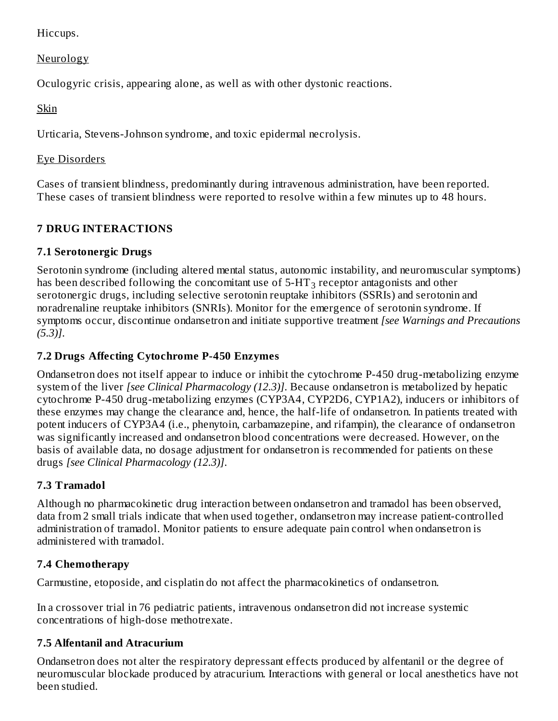Hiccups.

**Neurology** 

Oculogyric crisis, appearing alone, as well as with other dystonic reactions.

Skin

Urticaria, Stevens-Johnson syndrome, and toxic epidermal necrolysis.

# Eye Disorders

Cases of transient blindness, predominantly during intravenous administration, have been reported. These cases of transient blindness were reported to resolve within a few minutes up to 48 hours.

# **7 DRUG INTERACTIONS**

# **7.1 Serotonergic Drugs**

Serotonin syndrome (including altered mental status, autonomic instability, and neuromuscular symptoms) has been described following the concomitant use of 5-HT $_3$  receptor antagonists and other serotonergic drugs, including selective serotonin reuptake inhibitors (SSRIs) and serotonin and noradrenaline reuptake inhibitors (SNRIs). Monitor for the emergence of serotonin syndrome. If symptoms occur, discontinue ondansetron and initiate supportive treatment *[see Warnings and Precautions (5.3)]*.

# **7.2 Drugs Affecting Cytochrome P-450 Enzymes**

Ondansetron does not itself appear to induce or inhibit the cytochrome P-450 drug-metabolizing enzyme system of the liver *[see Clinical Pharmacology (12.3)]*. Because ondansetron is metabolized by hepatic cytochrome P-450 drug-metabolizing enzymes (CYP3A4, CYP2D6, CYP1A2), inducers or inhibitors of these enzymes may change the clearance and, hence, the half-life of ondansetron. In patients treated with potent inducers of CYP3A4 (i.e., phenytoin, carbamazepine, and rifampin), the clearance of ondansetron was significantly increased and ondansetron blood concentrations were decreased. However, on the basis of available data, no dosage adjustment for ondansetron is recommended for patients on these drugs *[see Clinical Pharmacology (12.3)]*.

# **7.3 Tramadol**

Although no pharmacokinetic drug interaction between ondansetron and tramadol has been observed, data from 2 small trials indicate that when used together, ondansetron may increase patient-controlled administration of tramadol. Monitor patients to ensure adequate pain control when ondansetron is administered with tramadol.

# **7.4 Chemotherapy**

Carmustine, etoposide, and cisplatin do not affect the pharmacokinetics of ondansetron.

In a crossover trial in 76 pediatric patients, intravenous ondansetron did not increase systemic concentrations of high-dose methotrexate.

# **7.5 Alfentanil and Atracurium**

Ondansetron does not alter the respiratory depressant effects produced by alfentanil or the degree of neuromuscular blockade produced by atracurium. Interactions with general or local anesthetics have not been studied.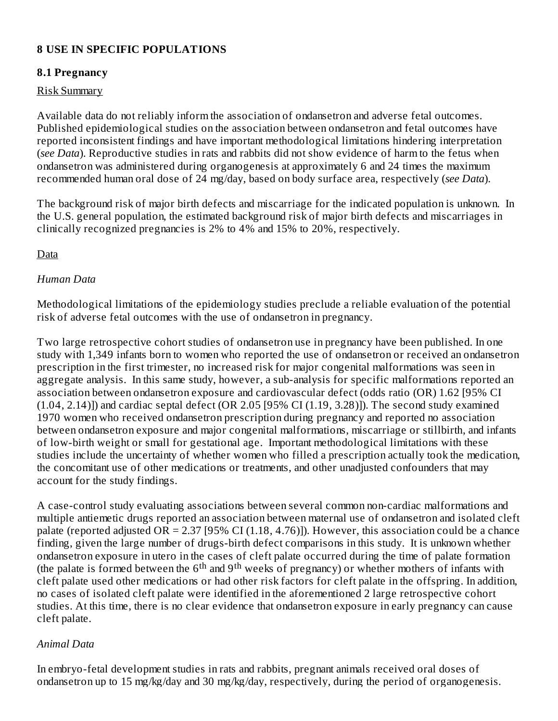## **8 USE IN SPECIFIC POPULATIONS**

#### **8.1 Pregnancy**

#### Risk Summary

Available data do not reliably inform the association of ondansetron and adverse fetal outcomes. Published epidemiological studies on the association between ondansetron and fetal outcomes have reported inconsistent findings and have important methodological limitations hindering interpretation (*see Data*). Reproductive studies in rats and rabbits did not show evidence of harm to the fetus when ondansetron was administered during organogenesis at approximately 6 and 24 times the maximum recommended human oral dose of 24 mg/day, based on body surface area, respectively (*see Data*).

The background risk of major birth defects and miscarriage for the indicated population is unknown. In the U.S. general population, the estimated background risk of major birth defects and miscarriages in clinically recognized pregnancies is 2% to 4% and 15% to 20%, respectively.

Data

#### *Human Data*

Methodological limitations of the epidemiology studies preclude a reliable evaluation of the potential risk of adverse fetal outcomes with the use of ondansetron in pregnancy.

Two large retrospective cohort studies of ondansetron use in pregnancy have been published. In one study with 1,349 infants born to women who reported the use of ondansetron or received an ondansetron prescription in the first trimester, no increased risk for major congenital malformations was seen in aggregate analysis. In this same study, however, a sub-analysis for specific malformations reported an association between ondansetron exposure and cardiovascular defect (odds ratio (OR) 1.62 [95% CI  $(1.04, 2.14)$ ]) and cardiac septal defect  $(OR 2.05 [95\% CI (1.19, 3.28)]$ . The second study examined 1970 women who received ondansetron prescription during pregnancy and reported no association between ondansetron exposure and major congenital malformations, miscarriage or stillbirth, and infants of low-birth weight or small for gestational age. Important methodological limitations with these studies include the uncertainty of whether women who filled a prescription actually took the medication, the concomitant use of other medications or treatments, and other unadjusted confounders that may account for the study findings.

A case-control study evaluating associations between several common non-cardiac malformations and multiple antiemetic drugs reported an association between maternal use of ondansetron and isolated cleft palate (reported adjusted OR = 2.37 [95% CI (1.18, 4.76)]). However, this association could be a chance finding, given the large number of drugs-birth defect comparisons in this study. It is unknown whether ondansetron exposure in utero in the cases of cleft palate occurred during the time of palate formation (the palate is formed between the  $6<sup>th</sup>$  and  $9<sup>th</sup>$  weeks of pregnancy) or whether mothers of infants with cleft palate used other medications or had other risk factors for cleft palate in the offspring. In addition, no cases of isolated cleft palate were identified in the aforementioned 2 large retrospective cohort studies. At this time, there is no clear evidence that ondansetron exposure in early pregnancy can cause cleft palate.

#### *Animal Data*

In embryo-fetal development studies in rats and rabbits, pregnant animals received oral doses of ondansetron up to 15 mg/kg/day and 30 mg/kg/day, respectively, during the period of organogenesis.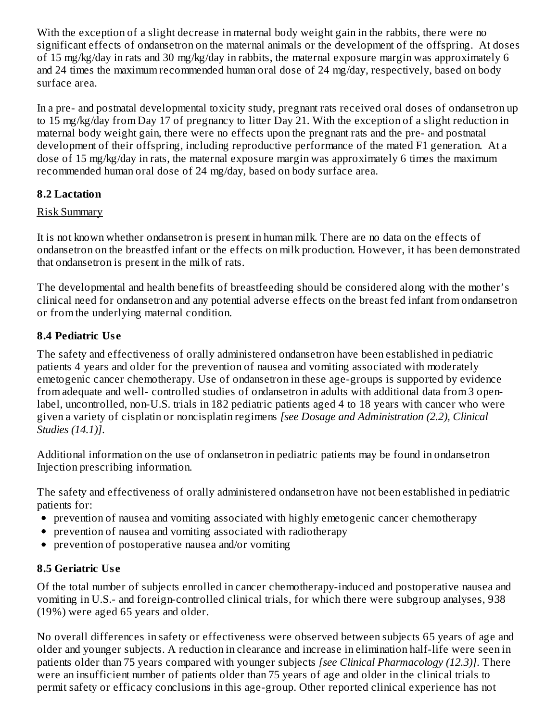With the exception of a slight decrease in maternal body weight gain in the rabbits, there were no significant effects of ondansetron on the maternal animals or the development of the offspring. At doses of 15 mg/kg/day in rats and 30 mg/kg/day in rabbits, the maternal exposure margin was approximately 6 and 24 times the maximum recommended human oral dose of 24 mg/day, respectively, based on body surface area.

In a pre- and postnatal developmental toxicity study, pregnant rats received oral doses of ondansetron up to 15 mg/kg/day from Day 17 of pregnancy to litter Day 21. With the exception of a slight reduction in maternal body weight gain, there were no effects upon the pregnant rats and the pre- and postnatal development of their offspring, including reproductive performance of the mated F1 generation. At a dose of 15 mg/kg/day in rats, the maternal exposure margin was approximately 6 times the maximum recommended human oral dose of 24 mg/day, based on body surface area.

## **8.2 Lactation**

## Risk Summary

It is not known whether ondansetron is present in human milk. There are no data on the effects of ondansetron on the breastfed infant or the effects on milk production. However, it has been demonstrated that ondansetron is present in the milk of rats.

The developmental and health benefits of breastfeeding should be considered along with the mother's clinical need for ondansetron and any potential adverse effects on the breast fed infant from ondansetron or from the underlying maternal condition.

# **8.4 Pediatric Us e**

The safety and effectiveness of orally administered ondansetron have been established in pediatric patients 4 years and older for the prevention of nausea and vomiting associated with moderately emetogenic cancer chemotherapy. Use of ondansetron in these age-groups is supported by evidence from adequate and well- controlled studies of ondansetron in adults with additional data from 3 openlabel, uncontrolled, non-U.S. trials in 182 pediatric patients aged 4 to 18 years with cancer who were given a variety of cisplatin or noncisplatin regimens *[see Dosage and Administration (2.2), Clinical Studies (14.1)]*.

Additional information on the use of ondansetron in pediatric patients may be found in ondansetron Injection prescribing information.

The safety and effectiveness of orally administered ondansetron have not been established in pediatric patients for:

- prevention of nausea and vomiting associated with highly emetogenic cancer chemotherapy
- prevention of nausea and vomiting associated with radiotherapy
- prevention of postoperative nausea and/or vomiting  $\bullet$

# **8.5 Geriatric Us e**

Of the total number of subjects enrolled in cancer chemotherapy-induced and postoperative nausea and vomiting in U.S.- and foreign-controlled clinical trials, for which there were subgroup analyses, 938 (19%) were aged 65 years and older.

No overall differences in safety or effectiveness were observed between subjects 65 years of age and older and younger subjects. A reduction in clearance and increase in elimination half-life were seen in patients older than 75 years compared with younger subjects *[see Clinical Pharmacology (12.3)]*. There were an insufficient number of patients older than 75 years of age and older in the clinical trials to permit safety or efficacy conclusions in this age-group. Other reported clinical experience has not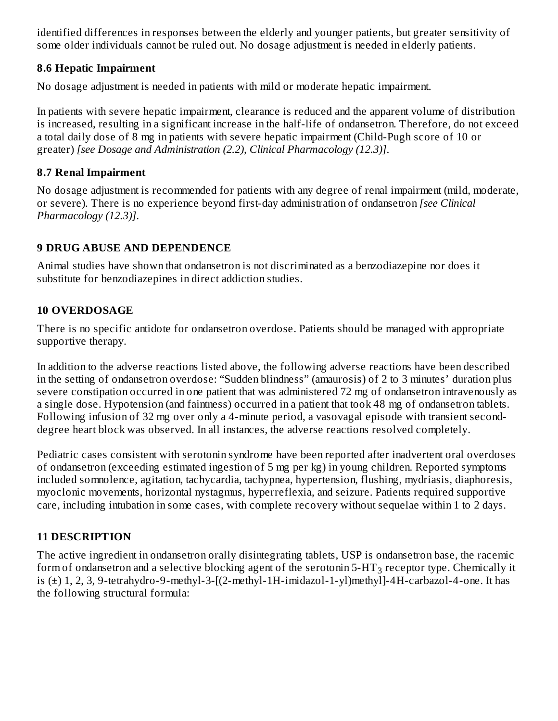identified differences in responses between the elderly and younger patients, but greater sensitivity of some older individuals cannot be ruled out. No dosage adjustment is needed in elderly patients.

### **8.6 Hepatic Impairment**

No dosage adjustment is needed in patients with mild or moderate hepatic impairment.

In patients with severe hepatic impairment, clearance is reduced and the apparent volume of distribution is increased, resulting in a significant increase in the half-life of ondansetron. Therefore, do not exceed a total daily dose of 8 mg in patients with severe hepatic impairment (Child-Pugh score of 10 or greater) *[see Dosage and Administration (2.2), Clinical Pharmacology (12.3)]*.

### **8.7 Renal Impairment**

No dosage adjustment is recommended for patients with any degree of renal impairment (mild, moderate, or severe). There is no experience beyond first-day administration of ondansetron *[see Clinical Pharmacology (12.3)]*.

## **9 DRUG ABUSE AND DEPENDENCE**

Animal studies have shown that ondansetron is not discriminated as a benzodiazepine nor does it substitute for benzodiazepines in direct addiction studies.

## **10 OVERDOSAGE**

There is no specific antidote for ondansetron overdose. Patients should be managed with appropriate supportive therapy.

In addition to the adverse reactions listed above, the following adverse reactions have been described in the setting of ondansetron overdose: "Sudden blindness" (amaurosis) of 2 to 3 minutes' duration plus severe constipation occurred in one patient that was administered 72 mg of ondansetron intravenously as a single dose. Hypotension (and faintness) occurred in a patient that took 48 mg of ondansetron tablets. Following infusion of 32 mg over only a 4-minute period, a vasovagal episode with transient seconddegree heart block was observed. In all instances, the adverse reactions resolved completely.

Pediatric cases consistent with serotonin syndrome have been reported after inadvertent oral overdoses of ondansetron (exceeding estimated ingestion of 5 mg per kg) in young children. Reported symptoms included somnolence, agitation, tachycardia, tachypnea, hypertension, flushing, mydriasis, diaphoresis, myoclonic movements, horizontal nystagmus, hyperreflexia, and seizure. Patients required supportive care, including intubation in some cases, with complete recovery without sequelae within 1 to 2 days.

## **11 DESCRIPTION**

The active ingredient in ondansetron orally disintegrating tablets, USP is ondansetron base, the racemic form of ondansetron and a selective blocking agent of the serotonin 5-HT $_3$  receptor type. Chemically it is  $(\pm)$  1, 2, 3, 9-tetrahydro-9-methyl-3- $[(2-methyl-1H-imidazol-1-yl)$ methyl $]-4H-carbazol-4-one$ . It has the following structural formula: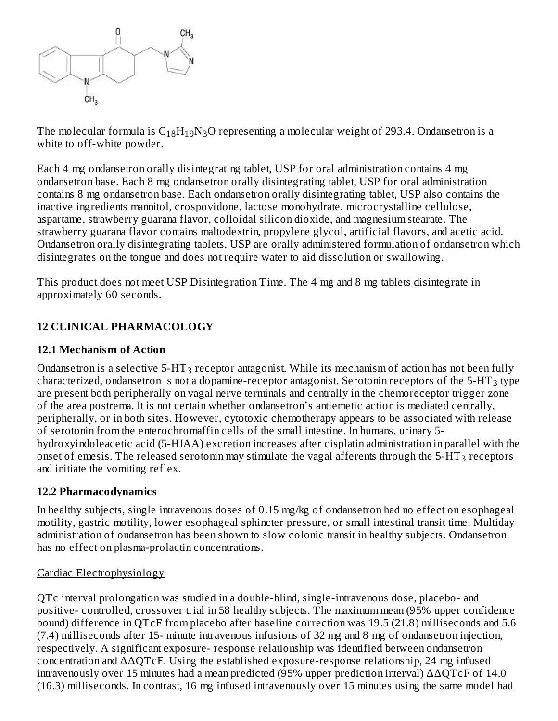

The molecular formula is  $\rm{C_{18}H_{19}N_{3}O}$  representing a molecular weight of 293.4. Ondansetron is a white to off-white powder.

Each 4 mg ondansetron orally disintegrating tablet, USP for oral administration contains 4 mg ondansetron base. Each 8 mg ondansetron orally disintegrating tablet, USP for oral administration contains 8 mg ondansetron base. Each ondansetron orally disintegrating tablet, USP also contains the inactive ingredients mannitol, crospovidone, lactose monohydrate, microcrystalline cellulose, aspartame, strawberry guarana flavor, colloidal silicon dioxide, and magnesium stearate. The strawberry guarana flavor contains maltodextrin, propylene glycol, artificial flavors, and acetic acid. Ondansetron orally disintegrating tablets, USP are orally administered formulation of ondansetron which disintegrates on the tongue and does not require water to aid dissolution or swallowing.

This product does not meet USP Disintegration Time. The 4 mg and 8 mg tablets disintegrate in approximately 60 seconds.

## **12 CLINICAL PHARMACOLOGY**

#### **12.1 Mechanism of Action**

Ondansetron is a selective 5-HT $_3$  receptor antagonist. While its mechanism of action has not been fully characterized, ondansetron is not a dopamine-receptor antagonist. Serotonin receptors of the 5-HT<sub>3</sub> type are present both peripherally on vagal nerve terminals and centrally in the chemoreceptor trigger zone of the area postrema. It is not certain whether ondansetron's antiemetic action is mediated centrally, peripherally, or in both sites. However, cytotoxic chemotherapy appears to be associated with release of serotonin from the enterochromaffin cells of the small intestine. In humans, urinary 5 hydroxyindoleacetic acid (5-HIAA) excretion increases after cisplatin administration in parallel with the onset of emesis. The released serotonin may stimulate the vagal afferents through the 5-HT<sub>3</sub> receptors and initiate the vomiting reflex.

#### **12.2 Pharmacodynamics**

In healthy subjects, single intravenous doses of 0.15 mg/kg of ondansetron had no effect on esophageal motility, gastric motility, lower esophageal sphincter pressure, or small intestinal transit time. Multiday administration of ondansetron has been shown to slow colonic transit in healthy subjects. Ondansetron has no effect on plasma-prolactin concentrations.

#### Cardiac Electrophysiology

QTc interval prolongation was studied in a double-blind, single-intravenous dose, placebo- and positive- controlled, crossover trial in 58 healthy subjects. The maximum mean (95% upper confidence bound) difference in QTcF from placebo after baseline correction was 19.5 (21.8) milliseconds and 5.6 (7.4) milliseconds after 15- minute intravenous infusions of 32 mg and 8 mg of ondansetron injection, respectively. A significant exposure- response relationship was identified between ondansetron concentration and ΔΔQTcF. Using the established exposure-response relationship, 24 mg infused intravenously over 15 minutes had a mean predicted (95% upper prediction interval) ΔΔQTcF of 14.0 (16.3) milliseconds. In contrast, 16 mg infused intravenously over 15 minutes using the same model had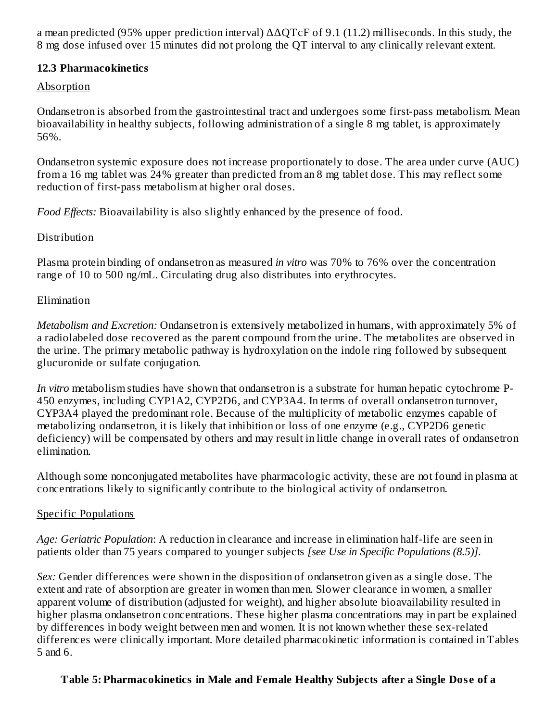a mean predicted (95% upper prediction interval)  $\Delta \Delta$ QTcF of 9.1 (11.2) milliseconds. In this study, the 8 mg dose infused over 15 minutes did not prolong the QT interval to any clinically relevant extent.

#### **12.3 Pharmacokinetics**

#### Absorption

Ondansetron is absorbed from the gastrointestinal tract and undergoes some first-pass metabolism. Mean bioavailability in healthy subjects, following administration of a single 8 mg tablet, is approximately 56%.

Ondansetron systemic exposure does not increase proportionately to dose. The area under curve (AUC) from a 16 mg tablet was 24% greater than predicted from an 8 mg tablet dose. This may reflect some reduction of first-pass metabolism at higher oral doses.

*Food Effects:* Bioavailability is also slightly enhanced by the presence of food.

#### Distribution

Plasma protein binding of ondansetron as measured *in vitro* was 70% to 76% over the concentration range of 10 to 500 ng/mL. Circulating drug also distributes into erythrocytes.

#### Elimination

*Metabolism and Excretion:* Ondansetron is extensively metabolized in humans, with approximately 5% of a radiolabeled dose recovered as the parent compound from the urine. The metabolites are observed in the urine. The primary metabolic pathway is hydroxylation on the indole ring followed by subsequent glucuronide or sulfate conjugation.

*In vitro* metabolism studies have shown that ondansetron is a substrate for human hepatic cytochrome P-450 enzymes, including CYP1A2, CYP2D6, and CYP3A4. In terms of overall ondansetron turnover, CYP3A4 played the predominant role. Because of the multiplicity of metabolic enzymes capable of metabolizing ondansetron, it is likely that inhibition or loss of one enzyme (e.g., CYP2D6 genetic deficiency) will be compensated by others and may result in little change in overall rates of ondansetron elimination.

Although some nonconjugated metabolites have pharmacologic activity, these are not found in plasma at concentrations likely to significantly contribute to the biological activity of ondansetron.

#### Specific Populations

*Age: Geriatric Population*: A reduction in clearance and increase in elimination half-life are seen in patients older than 75 years compared to younger subjects *[see Use in Specific Populations (8.5)]*.

*Sex:* Gender differences were shown in the disposition of ondansetron given as a single dose. The extent and rate of absorption are greater in women than men. Slower clearance in women, a smaller apparent volume of distribution (adjusted for weight), and higher absolute bioavailability resulted in higher plasma ondansetron concentrations. These higher plasma concentrations may in part be explained by differences in body weight between men and women. It is not known whether these sex-related differences were clinically important. More detailed pharmacokinetic information is contained in Tables 5 and 6.

#### **Table 5: Pharmacokinetics in Male and Female Healthy Subjects after a Single Dos e of a**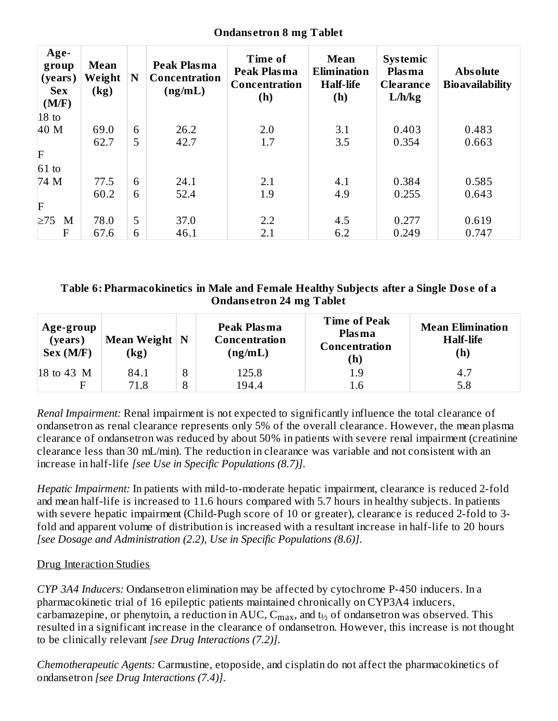| Age-<br>group<br>(years)<br><b>Sex</b><br>(M/F) | <b>Mean</b><br>Weight<br>(kg) | N | <b>Peak Plasma</b><br><b>Concentration</b><br>(ng/mL) | Time of<br><b>Peak Plasma</b><br>Concentration<br>(h) | Mean<br><b>Elimination</b><br><b>Half-life</b><br>(h) | <b>Systemic</b><br><b>Plasma</b><br><b>Clearance</b><br>L/h/kg | <b>Absolute</b><br><b>Bioavailability</b> |
|-------------------------------------------------|-------------------------------|---|-------------------------------------------------------|-------------------------------------------------------|-------------------------------------------------------|----------------------------------------------------------------|-------------------------------------------|
| $18$ to                                         |                               |   |                                                       |                                                       |                                                       |                                                                |                                           |
| 40 M                                            | 69.0                          | 6 | 26.2                                                  | 2.0                                                   | 3.1                                                   | 0.403                                                          | 0.483                                     |
|                                                 | 62.7                          | 5 | 42.7                                                  | 1.7                                                   | 3.5                                                   | 0.354                                                          | 0.663                                     |
| F                                               |                               |   |                                                       |                                                       |                                                       |                                                                |                                           |
| $61$ to                                         |                               |   |                                                       |                                                       |                                                       |                                                                |                                           |
| 74 M                                            | 77.5                          | 6 | 24.1                                                  | 2.1                                                   | 4.1                                                   | 0.384                                                          | 0.585                                     |
|                                                 | 60.2                          | 6 | 52.4                                                  | 1.9                                                   | 4.9                                                   | 0.255                                                          | 0.643                                     |
| F                                               |                               |   |                                                       |                                                       |                                                       |                                                                |                                           |
| $\geq 75$<br>M                                  | 78.0                          | 5 | 37.0                                                  | 2.2                                                   | 4.5                                                   | 0.277                                                          | 0.619                                     |
| F                                               | 67.6                          | 6 | 46.1                                                  | 2.1                                                   | 6.2                                                   | 0.249                                                          | 0.747                                     |

#### **Ondans etron 8 mg Tablet**

#### **Table 6: Pharmacokinetics in Male and Female Healthy Subjects after a Single Dos e of a Ondans etron 24 mg Tablet**

| Age-group<br>(years)<br>Sex (M/F) | Mean Weight $\vert N \vert$<br>$\left(\mathrm{kg}\right)$ |   | Peak Plasma<br>Concentration<br>(ng/mL) | <b>Time of Peak</b><br><b>Plasma</b><br>Concentration<br>(h) | <b>Mean Elimination</b><br><b>Half-life</b><br>(h) |
|-----------------------------------|-----------------------------------------------------------|---|-----------------------------------------|--------------------------------------------------------------|----------------------------------------------------|
| 18 to 43 M                        | 84.1                                                      | 8 | 125.8                                   | 1.9                                                          | 4.7                                                |
|                                   | 71.8                                                      | 8 | 194.4                                   | 1.6                                                          | 5.8                                                |

*Renal Impairment:* Renal impairment is not expected to significantly influence the total clearance of ondansetron as renal clearance represents only 5% of the overall clearance. However, the mean plasma clearance of ondansetron was reduced by about 50% in patients with severe renal impairment (creatinine clearance less than 30 mL/min). The reduction in clearance was variable and not consistent with an increase in half-life *[see Use in Specific Populations (8.7)]*.

*Hepatic Impairment:* In patients with mild-to-moderate hepatic impairment, clearance is reduced 2-fold and mean half-life is increased to 11.6 hours compared with 5.7 hours in healthy subjects. In patients with severe hepatic impairment (Child-Pugh score of 10 or greater), clearance is reduced 2-fold to 3 fold and apparent volume of distribution is increased with a resultant increase in half-life to 20 hours *[see Dosage and Administration (2.2), Use in Specific Populations (8.6)]*.

#### Drug Interaction Studies

*CYP 3A4 Inducers:* Ondansetron elimination may be affected by cytochrome P-450 inducers. In a pharmacokinetic trial of 16 epileptic patients maintained chronically on CYP3A4 inducers, carbamazepine, or phenytoin, a reduction in AUC,  $\mathsf{C_{max}}$ , and  $\mathsf{t}_{\mathit{y_{2}}}$  of ondansetron was observed. This resulted in a significant increase in the clearance of ondansetron. However, this increase is not thought to be clinically relevant *[see Drug Interactions (7.2)]*.

*Chemotherapeutic Agents:* Carmustine, etoposide, and cisplatin do not affect the pharmacokinetics of ondansetron *[see Drug Interactions (7.4)]*.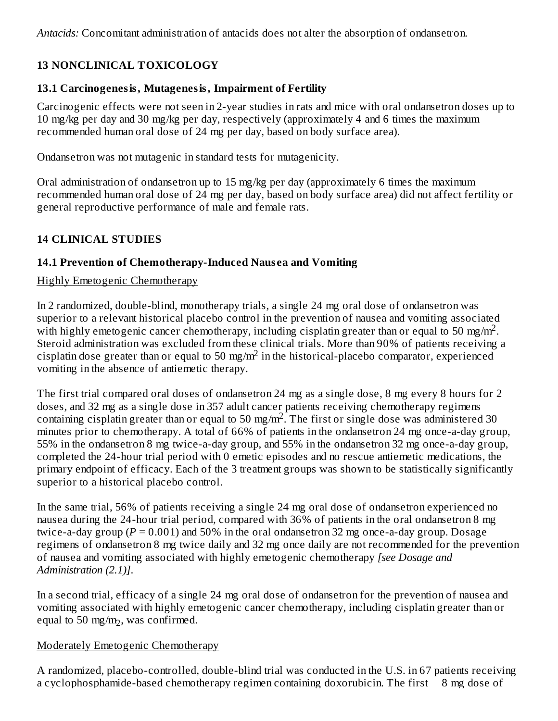*Antacids:* Concomitant administration of antacids does not alter the absorption of ondansetron.

# **13 NONCLINICAL TOXICOLOGY**

## **13.1 Carcinogenesis, Mutagenesis, Impairment of Fertility**

Carcinogenic effects were not seen in 2-year studies in rats and mice with oral ondansetron doses up to 10 mg/kg per day and 30 mg/kg per day, respectively (approximately 4 and 6 times the maximum recommended human oral dose of 24 mg per day, based on body surface area).

Ondansetron was not mutagenic in standard tests for mutagenicity.

Oral administration of ondansetron up to 15 mg/kg per day (approximately 6 times the maximum recommended human oral dose of 24 mg per day, based on body surface area) did not affect fertility or general reproductive performance of male and female rats.

## **14 CLINICAL STUDIES**

## **14.1 Prevention of Chemotherapy-Induced Naus ea and Vomiting**

#### Highly Emetogenic Chemotherapy

In 2 randomized, double-blind, monotherapy trials, a single 24 mg oral dose of ondansetron was superior to a relevant historical placebo control in the prevention of nausea and vomiting associated with highly emetogenic cancer chemotherapy, including cisplatin greater than or equal to 50 mg/m<sup>2</sup>. Steroid administration was excluded from these clinical trials. More than 90% of patients receiving a cisplatin dose greater than or equal to 50 mg/m<sup>2</sup> in the historical-placebo comparator, experienced vomiting in the absence of antiemetic therapy.

The first trial compared oral doses of ondansetron 24 mg as a single dose, 8 mg every 8 hours for 2 doses, and 32 mg as a single dose in 357 adult cancer patients receiving chemotherapy regimens containing cisplatin greater than or equal to 50 mg/m<sup>2</sup>. The first or single dose was administered 30 minutes prior to chemotherapy. A total of 66% of patients in the ondansetron 24 mg once-a-day group, 55% in the ondansetron 8 mg twice-a-day group, and 55% in the ondansetron 32 mg once-a-day group, completed the 24-hour trial period with 0 emetic episodes and no rescue antiemetic medications, the primary endpoint of efficacy. Each of the 3 treatment groups was shown to be statistically significantly superior to a historical placebo control.

In the same trial, 56% of patients receiving a single 24 mg oral dose of ondansetron experienced no nausea during the 24-hour trial period, compared with 36% of patients in the oral ondansetron 8 mg twice-a-day group ( $P = 0.001$ ) and 50% in the oral ondansetron 32 mg once-a-day group. Dosage regimens of ondansetron 8 mg twice daily and 32 mg once daily are not recommended for the prevention of nausea and vomiting associated with highly emetogenic chemotherapy *[see Dosage and Administration (2.1)]*.

In a second trial, efficacy of a single 24 mg oral dose of ondansetron for the prevention of nausea and vomiting associated with highly emetogenic cancer chemotherapy, including cisplatin greater than or equal to 50 mg/m<sub>2</sub>, was confirmed.

#### Moderately Emetogenic Chemotherapy

A randomized, placebo-controlled, double-blind trial was conducted in the U.S. in 67 patients receiving a cyclophosphamide-based chemotherapy regimen containing doxorubicin. The first 8 mg dose of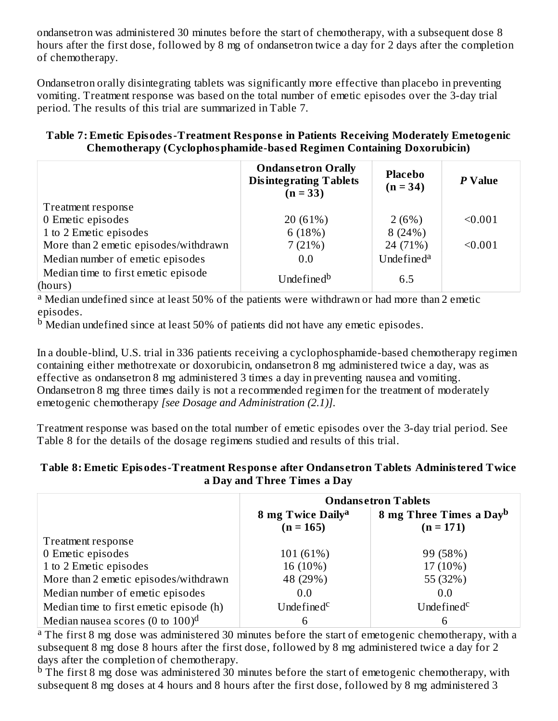ondansetron was administered 30 minutes before the start of chemotherapy, with a subsequent dose 8 hours after the first dose, followed by 8 mg of ondansetron twice a day for 2 days after the completion of chemotherapy.

Ondansetron orally disintegrating tablets was significantly more effective than placebo in preventing vomiting. Treatment response was based on the total number of emetic episodes over the 3-day trial period. The results of this trial are summarized in Table 7.

#### **Table 7: Emetic Episodes-Treatment Respons e in Patients Receiving Moderately Emetogenic Chemotherapy (Cyclophosphamide-bas ed Regimen Containing Doxorubicin)**

|                                                | <b>Ondansetron Orally</b><br><b>Disintegrating Tablets</b><br>$(n = 33)$ | <b>Placebo</b><br>$(n = 34)$ | P Value |
|------------------------------------------------|--------------------------------------------------------------------------|------------------------------|---------|
| Treatment response                             |                                                                          |                              |         |
| 0 Emetic episodes                              | 20 (61%)                                                                 | 2(6%)                        | < 0.001 |
| 1 to 2 Emetic episodes                         | 6(18%)                                                                   | 8(24%)                       |         |
| More than 2 emetic episodes/withdrawn          | 7(21%)                                                                   | 24 (71%)                     | < 0.001 |
| Median number of emetic episodes               | 0.0                                                                      | Undefined <sup>a</sup>       |         |
| Median time to first emetic episode<br>(hours) | Undefined <sup>b</sup>                                                   | 6.5                          |         |

<sup>a</sup> Median undefined since at least 50% of the patients were withdrawn or had more than 2 emetic episodes.

 $\rm ^b$  Median undefined since at least 50% of patients did not have any emetic episodes.

In a double-blind, U.S. trial in 336 patients receiving a cyclophosphamide-based chemotherapy regimen containing either methotrexate or doxorubicin, ondansetron 8 mg administered twice a day, was as effective as ondansetron 8 mg administered 3 times a day in preventing nausea and vomiting. Ondansetron 8 mg three times daily is not a recommended regimen for the treatment of moderately emetogenic chemotherapy *[see Dosage and Administration (2.1)]*.

Treatment response was based on the total number of emetic episodes over the 3-day trial period. See Table 8 for the details of the dosage regimens studied and results of this trial.

#### **Table 8: Emetic Episodes-Treatment Respons e after Ondans etron Tablets Administered Twice a Day and Three Times a Day**

|                                                 | <b>Ondansetron Tablets</b>                   |                                                    |  |
|-------------------------------------------------|----------------------------------------------|----------------------------------------------------|--|
|                                                 | 8 mg Twice Daily <sup>a</sup><br>$(n = 165)$ | 8 mg Three Times a Day <sup>b</sup><br>$(n = 171)$ |  |
| Treatment response                              |                                              |                                                    |  |
| 0 Emetic episodes                               | 101 (61%)                                    | 99 (58%)                                           |  |
| 1 to 2 Emetic episodes                          | 16 (10%)                                     | 17 (10%)                                           |  |
| More than 2 emetic episodes/withdrawn           | 48 (29%)                                     | 55 (32%)                                           |  |
| Median number of emetic episodes                | 0.0                                          | 0.0                                                |  |
| Median time to first emetic episode (h)         | Undefined <sup>c</sup>                       | Undefined <sup>c</sup>                             |  |
| Median nausea scores (0 to $100$ ) <sup>d</sup> |                                              | 6                                                  |  |

<sup>a</sup> The first 8 mg dose was administered 30 minutes before the start of emetogenic chemotherapy, with a subsequent 8 mg dose 8 hours after the first dose, followed by 8 mg administered twice a day for 2 days after the completion of chemotherapy.

 $\rm{^{b}}$  The first 8 mg dose was administered 30 minutes before the start of emetogenic chemotherapy, with subsequent 8 mg doses at 4 hours and 8 hours after the first dose, followed by 8 mg administered 3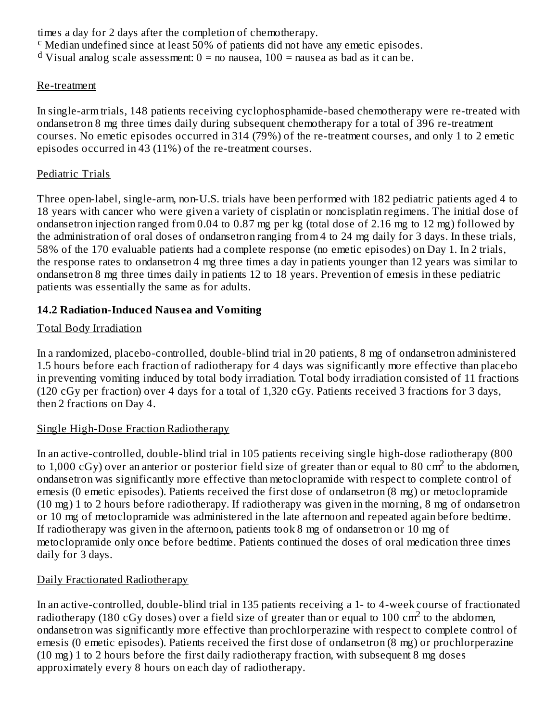times a day for 2 days after the completion of chemotherapy.  $\rm c$  Median undefined since at least 50% of patients did not have any emetic episodes. <sup>d</sup> Visual analog scale assessment:  $0 =$  no nausea,  $100 =$  nausea as bad as it can be.

#### Re-treatment

In single-arm trials, 148 patients receiving cyclophosphamide-based chemotherapy were re-treated with ondansetron 8 mg three times daily during subsequent chemotherapy for a total of 396 re-treatment courses. No emetic episodes occurred in 314 (79%) of the re-treatment courses, and only 1 to 2 emetic episodes occurred in 43 (11%) of the re-treatment courses.

#### Pediatric Trials

Three open-label, single-arm, non-U.S. trials have been performed with 182 pediatric patients aged 4 to 18 years with cancer who were given a variety of cisplatin or noncisplatin regimens. The initial dose of ondansetron injection ranged from 0.04 to 0.87 mg per kg (total dose of 2.16 mg to 12 mg) followed by the administration of oral doses of ondansetron ranging from 4 to 24 mg daily for 3 days. In these trials, 58% of the 170 evaluable patients had a complete response (no emetic episodes) on Day 1. In 2 trials, the response rates to ondansetron 4 mg three times a day in patients younger than 12 years was similar to ondansetron 8 mg three times daily in patients 12 to 18 years. Prevention of emesis in these pediatric patients was essentially the same as for adults.

## **14.2 Radiation-Induced Naus ea and Vomiting**

## Total Body Irradiation

In a randomized, placebo-controlled, double-blind trial in 20 patients, 8 mg of ondansetron administered 1.5 hours before each fraction of radiotherapy for 4 days was significantly more effective than placebo in preventing vomiting induced by total body irradiation. Total body irradiation consisted of 11 fractions (120 cGy per fraction) over 4 days for a total of 1,320 cGy. Patients received 3 fractions for 3 days, then 2 fractions on Day 4.

#### Single High-Dose Fraction Radiotherapy

In an active-controlled, double-blind trial in 105 patients receiving single high-dose radiotherapy (800 to 1,000 cGy) over an anterior or posterior field size of greater than or equal to 80 cm<sup>2</sup> to the abdomen, ondansetron was significantly more effective than metoclopramide with respect to complete control of emesis (0 emetic episodes). Patients received the first dose of ondansetron (8 mg) or metoclopramide (10 mg) 1 to 2 hours before radiotherapy. If radiotherapy was given in the morning, 8 mg of ondansetron or 10 mg of metoclopramide was administered in the late afternoon and repeated again before bedtime. If radiotherapy was given in the afternoon, patients took 8 mg of ondansetron or 10 mg of metoclopramide only once before bedtime. Patients continued the doses of oral medication three times daily for 3 days.

## Daily Fractionated Radiotherapy

In an active-controlled, double-blind trial in 135 patients receiving a 1- to 4-week course of fractionated radiotherapy (180 cGy doses) over a field size of greater than or equal to 100 cm<sup>2</sup> to the abdomen, ondansetron was significantly more effective than prochlorperazine with respect to complete control of emesis (0 emetic episodes). Patients received the first dose of ondansetron (8 mg) or prochlorperazine (10 mg) 1 to 2 hours before the first daily radiotherapy fraction, with subsequent 8 mg doses approximately every 8 hours on each day of radiotherapy.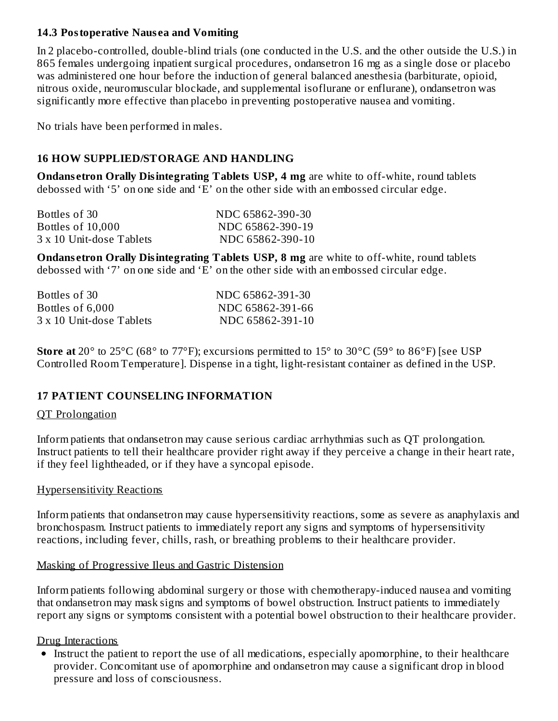#### **14.3 Postoperative Naus ea and Vomiting**

In 2 placebo-controlled, double-blind trials (one conducted in the U.S. and the other outside the U.S.) in 865 females undergoing inpatient surgical procedures, ondansetron 16 mg as a single dose or placebo was administered one hour before the induction of general balanced anesthesia (barbiturate, opioid, nitrous oxide, neuromuscular blockade, and supplemental isoflurane or enflurane), ondansetron was significantly more effective than placebo in preventing postoperative nausea and vomiting.

No trials have been performed in males.

## **16 HOW SUPPLIED/STORAGE AND HANDLING**

**Ondans etron Orally Disintegrating Tablets USP, 4 mg** are white to off-white, round tablets debossed with '5' on one side and 'E' on the other side with an embossed circular edge.

| Bottles of 30            | NDC 65862-390-30 |
|--------------------------|------------------|
| Bottles of 10,000        | NDC 65862-390-19 |
| 3 x 10 Unit-dose Tablets | NDC 65862-390-10 |

**Ondans etron Orally Disintegrating Tablets USP, 8 mg** are white to off-white, round tablets debossed with '7' on one side and 'E' on the other side with an embossed circular edge.

| Bottles of 30            | NDC 65862-391-30 |
|--------------------------|------------------|
| Bottles of 6,000         | NDC 65862-391-66 |
| 3 x 10 Unit-dose Tablets | NDC 65862-391-10 |

**Store at** 20° to 25°C (68° to 77°F); excursions permitted to 15° to 30°C (59° to 86°F) [see USP Controlled Room Temperature]. Dispense in a tight, light-resistant container as defined in the USP.

#### **17 PATIENT COUNSELING INFORMATION**

#### QT Prolongation

Inform patients that ondansetron may cause serious cardiac arrhythmias such as QT prolongation. Instruct patients to tell their healthcare provider right away if they perceive a change in their heart rate, if they feel lightheaded, or if they have a syncopal episode.

#### Hypersensitivity Reactions

Inform patients that ondansetron may cause hypersensitivity reactions, some as severe as anaphylaxis and bronchospasm. Instruct patients to immediately report any signs and symptoms of hypersensitivity reactions, including fever, chills, rash, or breathing problems to their healthcare provider.

#### Masking of Progressive Ileus and Gastric Distension

Inform patients following abdominal surgery or those with chemotherapy-induced nausea and vomiting that ondansetron may mask signs and symptoms of bowel obstruction. Instruct patients to immediately report any signs or symptoms consistent with a potential bowel obstruction to their healthcare provider.

#### Drug Interactions

Instruct the patient to report the use of all medications, especially apomorphine, to their healthcare provider. Concomitant use of apomorphine and ondansetron may cause a significant drop in blood pressure and loss of consciousness.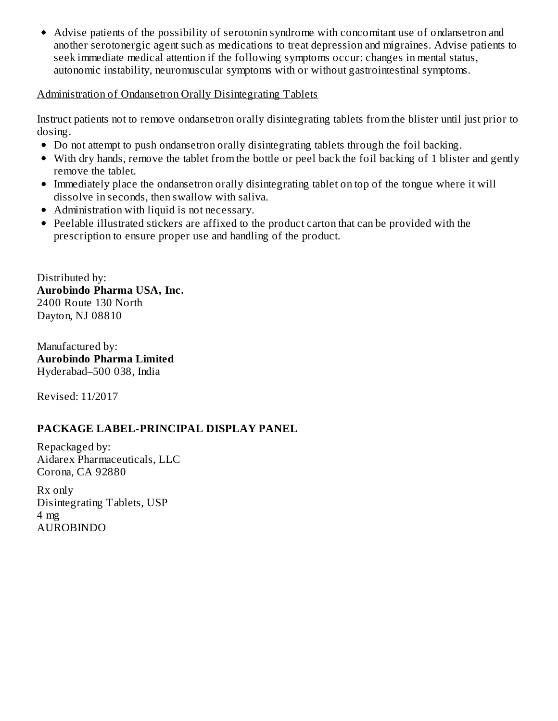Advise patients of the possibility of serotonin syndrome with concomitant use of ondansetron and another serotonergic agent such as medications to treat depression and migraines. Advise patients to seek immediate medical attention if the following symptoms occur: changes in mental status, autonomic instability, neuromuscular symptoms with or without gastrointestinal symptoms.

#### Administration of Ondansetron Orally Disintegrating Tablets

Instruct patients not to remove ondansetron orally disintegrating tablets from the blister until just prior to dosing.

- Do not attempt to push ondansetron orally disintegrating tablets through the foil backing.
- With dry hands, remove the tablet from the bottle or peel back the foil backing of 1 blister and gently remove the tablet.
- Immediately place the ondansetron orally disintegrating tablet on top of the tongue where it will dissolve in seconds, then swallow with saliva.
- Administration with liquid is not necessary.
- Peelable illustrated stickers are affixed to the product carton that can be provided with the prescription to ensure proper use and handling of the product.

Distributed by: **Aurobindo Pharma USA, Inc.** 2400 Route 130 North Dayton, NJ 08810

Manufactured by: **Aurobindo Pharma Limited** Hyderabad–500 038, India

Revised: 11/2017

#### **PACKAGE LABEL-PRINCIPAL DISPLAY PANEL**

Repackaged by: Aidarex Pharmaceuticals, LLC Corona, CA 92880

Rx only Disintegrating Tablets, USP 4 mg AUROBINDO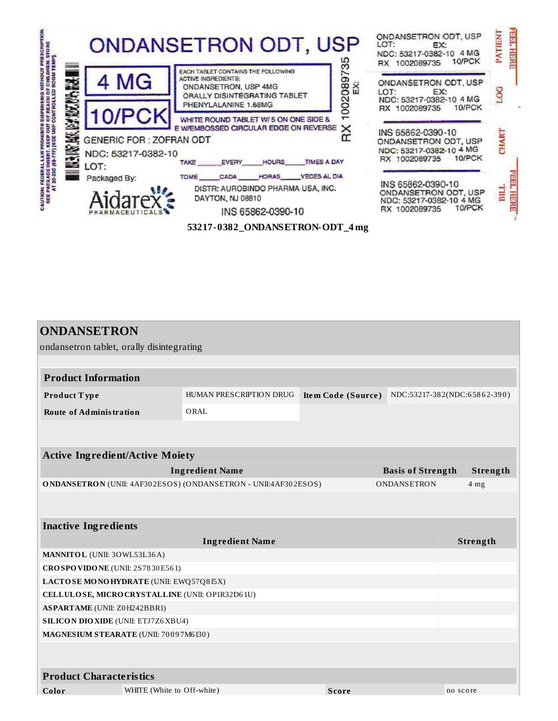|    |                                                                        | <b>ONDANSETRON ODT, USP</b>                                                                                                                                    | ONDANSETRON ODT, USP<br>LOT:<br>EX:<br>NDC: 53217-0382-10 4 MG<br>10/PCK<br>RX 1002089735       | <b>FEE</b><br><b>ATIENT</b><br>HER |
|----|------------------------------------------------------------------------|----------------------------------------------------------------------------------------------------------------------------------------------------------------|-------------------------------------------------------------------------------------------------|------------------------------------|
| N. | 4 MG                                                                   | EACH TABLET CONTAINS THE FOLLOWING<br><b>ACTIVE INGREDIENTS:</b><br>02089<br>Ä<br>ONDANSETRON, USP 4MG<br>ORALLY DISINTEGRATING TABLET<br>PHENYLALANINE 1.68MG | ONDANSETRON ODT, USP<br>LOT:<br>EX:<br>NDC: 53217-0382-10 4 MG<br>10/PCK<br>RX 1002089735       |                                    |
|    | 10/PCK<br><b>GENERIC FOR: ZOFRAN ODT</b><br>NDC: 53217-0382-10<br>LOT: | WHITE ROUND TABLET W/ 5 ON ONE SIDE &<br>E W/EMBOSSED CIRCULAR EDGE ON REVERSE X<br><b>TIMES A DAY</b><br><b>HOURS</b><br>TAKE EVERY                           | INS 65862-0390-10<br>ONDANSETRON ODT, USP<br>NDC: 53217-0382-10 4 MG<br>10/PCK<br>RX 1002089735 |                                    |
|    | Packaged By:<br>Aidarex's                                              | HORAS VECES AL DIA<br>TOME CADA<br>DISTR: AUROBINDO PHARMA USA, INC.<br>DAYTON, NJ 08810<br>INS 65862-0390-10                                                  | INS 65862-0390-10<br>ONDANSETRON ODT, USP<br>NDC: 53217-0382-10 4 MG<br>10/PCK<br>RX 1002089735 | E                                  |
|    |                                                                        | 53217-0382_ONDANSETRON-ODT_4mg                                                                                                                                 |                                                                                                 |                                    |

| <b>ONDANSETRON</b>                                                                       |                         |                           |                                         |                             |  |  |  |
|------------------------------------------------------------------------------------------|-------------------------|---------------------------|-----------------------------------------|-----------------------------|--|--|--|
| ondansetron tablet, orally disintegrating                                                |                         |                           |                                         |                             |  |  |  |
|                                                                                          |                         |                           |                                         |                             |  |  |  |
| <b>Product Information</b>                                                               |                         |                           |                                         |                             |  |  |  |
| Product Type                                                                             | HUMAN PRESCRIPTION DRUG | <b>Item Code (Source)</b> | NDC:53217-382(NDC:65862-390)            |                             |  |  |  |
| <b>Route of Administration</b>                                                           | ORAL                    |                           |                                         |                             |  |  |  |
|                                                                                          |                         |                           |                                         |                             |  |  |  |
| <b>Active Ingredient/Active Moiety</b>                                                   |                         |                           |                                         |                             |  |  |  |
|                                                                                          |                         |                           |                                         |                             |  |  |  |
| <b>Ingredient Name</b><br>ONDANSETRON (UNII: 4AF302ESOS) (ONDANSETRON - UNII:4AF302ESOS) |                         |                           | <b>Basis of Strength</b><br>ONDANSETRON | Strength<br>4 <sub>mg</sub> |  |  |  |
|                                                                                          |                         |                           |                                         |                             |  |  |  |
|                                                                                          |                         |                           |                                         |                             |  |  |  |
| <b>Inactive Ingredients</b>                                                              |                         |                           |                                         |                             |  |  |  |
|                                                                                          |                         | Strength                  |                                         |                             |  |  |  |
| MANNITOL (UNII: 30WL53L36A)                                                              |                         |                           |                                         |                             |  |  |  |
| CROSPOVIDONE (UNII: 2S7830E561)                                                          |                         |                           |                                         |                             |  |  |  |
| LACTOSE MONOHYDRATE (UNII: EWQ57Q8I5X)                                                   |                         |                           |                                         |                             |  |  |  |
| CELLULOSE, MICRO CRYSTALLINE (UNII: OP1R32D61U)                                          |                         |                           |                                         |                             |  |  |  |
| <b>ASPARTAME</b> (UNII: Z0H242BBR1)                                                      |                         |                           |                                         |                             |  |  |  |
| <b>SILICON DIO XIDE (UNII: ETJ7Z6 XBU4)</b>                                              |                         |                           |                                         |                             |  |  |  |
| MAGNESIUM STEARATE (UNII: 70097M6I30)                                                    |                         |                           |                                         |                             |  |  |  |
|                                                                                          |                         |                           |                                         |                             |  |  |  |
| <b>Product Characteristics</b>                                                           |                         |                           |                                         |                             |  |  |  |
| WHITE (White to Off-white)<br>Color                                                      |                         | <b>Score</b>              |                                         | no score                    |  |  |  |

**Contract Contract**